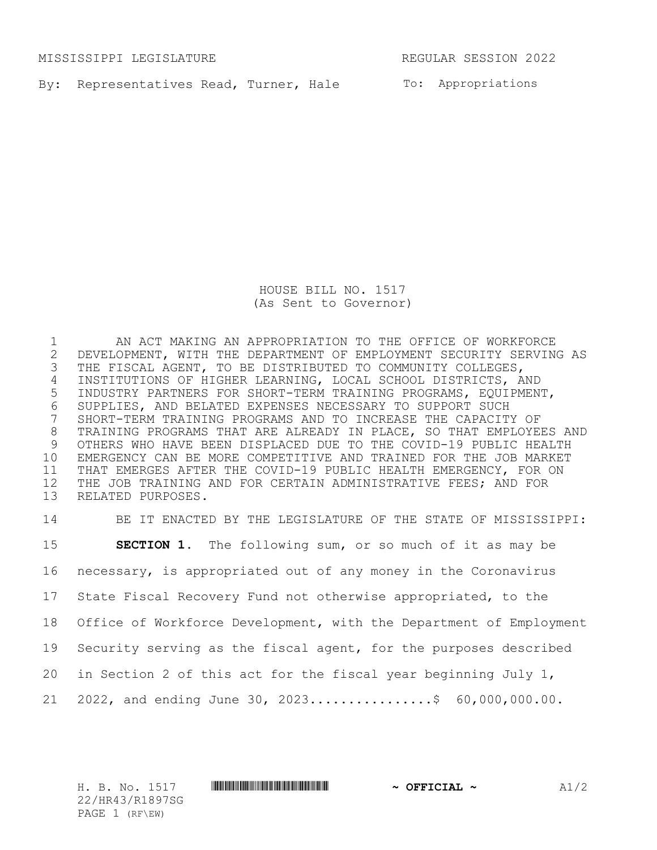MISSISSIPPI LEGISLATURE REGULAR SESSION 2022

By: Representatives Read, Turner, Hale To: Appropriations

HOUSE BILL NO. 1517 (As Sent to Governor)

 AN ACT MAKING AN APPROPRIATION TO THE OFFICE OF WORKFORCE 2 DEVELOPMENT, WITH THE DEPARTMENT OF EMPLOYMENT SECURITY SERVING AS<br>3 THE FISCAL AGENT, TO BE DISTRIBUTED TO COMMUNITY COLLEGES, THE FISCAL AGENT, TO BE DISTRIBUTED TO COMMUNITY COLLEGES, INSTITUTIONS OF HIGHER LEARNING, LOCAL SCHOOL DISTRICTS, AND INDUSTRY PARTNERS FOR SHORT-TERM TRAINING PROGRAMS, EQUIPMENT, SUPPLIES, AND BELATED EXPENSES NECESSARY TO SUPPORT SUCH SHORT-TERM TRAINING PROGRAMS AND TO INCREASE THE CAPACITY OF TRAINING PROGRAMS THAT ARE ALREADY IN PLACE, SO THAT EMPLOYEES AND OTHERS WHO HAVE BEEN DISPLACED DUE TO THE COVID-19 PUBLIC HEALTH EMERGENCY CAN BE MORE COMPETITIVE AND TRAINED FOR THE JOB MARKET THAT EMERGES AFTER THE COVID-19 PUBLIC HEALTH EMERGENCY, FOR ON THE JOB TRAINING AND FOR CERTAIN ADMINISTRATIVE FEES; AND FOR RELATED PURPOSES.

 BE IT ENACTED BY THE LEGISLATURE OF THE STATE OF MISSISSIPPI: **SECTION 1.** The following sum, or so much of it as may be necessary, is appropriated out of any money in the Coronavirus State Fiscal Recovery Fund not otherwise appropriated, to the Office of Workforce Development, with the Department of Employment Security serving as the fiscal agent, for the purposes described in Section 2 of this act for the fiscal year beginning July 1, 21 2022, and ending June 30, 2023...................\$  $60,000,000.00$ .

22/HR43/R1897SG PAGE 1 (RF\EW)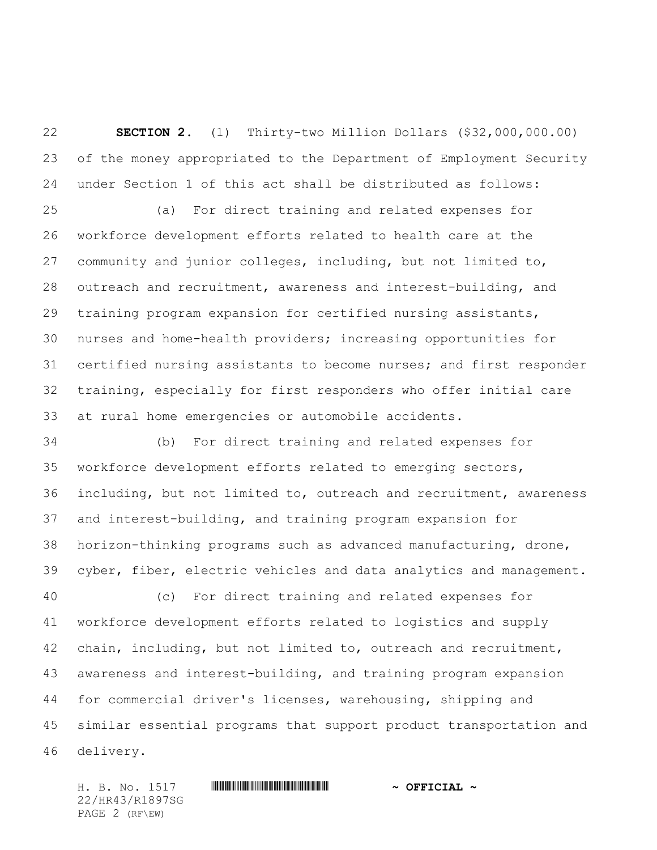**SECTION 2.** (1) Thirty-two Million Dollars (\$32,000,000.00) of the money appropriated to the Department of Employment Security under Section 1 of this act shall be distributed as follows:

 (a) For direct training and related expenses for workforce development efforts related to health care at the community and junior colleges, including, but not limited to, outreach and recruitment, awareness and interest-building, and training program expansion for certified nursing assistants, nurses and home-health providers; increasing opportunities for certified nursing assistants to become nurses; and first responder training, especially for first responders who offer initial care at rural home emergencies or automobile accidents.

 (b) For direct training and related expenses for workforce development efforts related to emerging sectors, including, but not limited to, outreach and recruitment, awareness and interest-building, and training program expansion for horizon-thinking programs such as advanced manufacturing, drone, cyber, fiber, electric vehicles and data analytics and management.

 (c) For direct training and related expenses for workforce development efforts related to logistics and supply chain, including, but not limited to, outreach and recruitment, awareness and interest-building, and training program expansion for commercial driver's licenses, warehousing, shipping and similar essential programs that support product transportation and delivery.

H. B. No. 1517 \*HR43/R1897SG\* **~ OFFICIAL ~** 22/HR43/R1897SG PAGE 2 (RF\EW)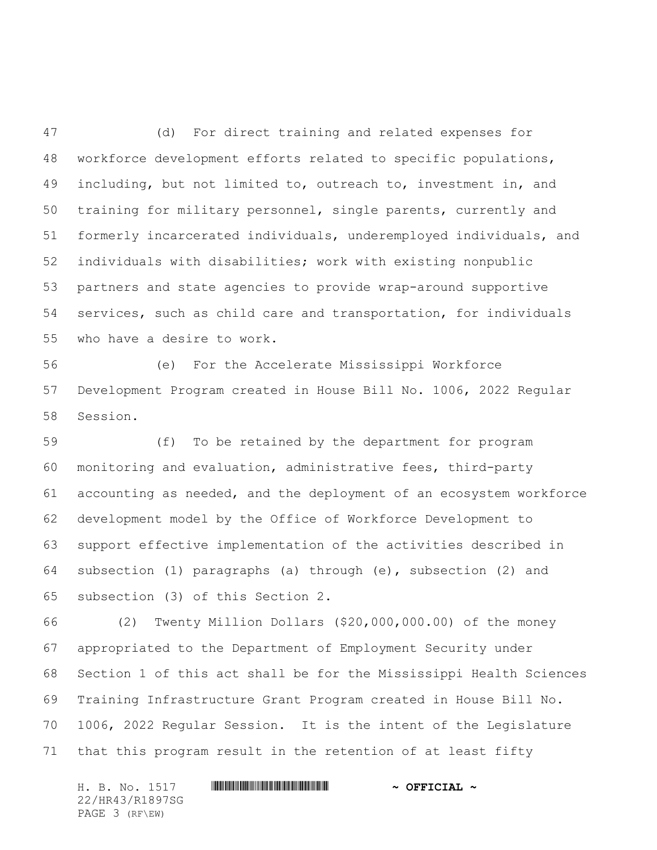(d) For direct training and related expenses for workforce development efforts related to specific populations, including, but not limited to, outreach to, investment in, and training for military personnel, single parents, currently and formerly incarcerated individuals, underemployed individuals, and individuals with disabilities; work with existing nonpublic partners and state agencies to provide wrap-around supportive services, such as child care and transportation, for individuals who have a desire to work.

 (e) For the Accelerate Mississippi Workforce Development Program created in House Bill No. 1006, 2022 Regular Session.

 (f) To be retained by the department for program monitoring and evaluation, administrative fees, third-party accounting as needed, and the deployment of an ecosystem workforce development model by the Office of Workforce Development to support effective implementation of the activities described in subsection (1) paragraphs (a) through (e), subsection (2) and subsection (3) of this Section 2.

 (2) Twenty Million Dollars (\$20,000,000.00) of the money appropriated to the Department of Employment Security under Section 1 of this act shall be for the Mississippi Health Sciences Training Infrastructure Grant Program created in House Bill No. 1006, 2022 Regular Session. It is the intent of the Legislature that this program result in the retention of at least fifty

H. B. No. 1517 **. WALLER WEIGHT AND A SEPTCIAL ~** 22/HR43/R1897SG PAGE 3 (RF\EW)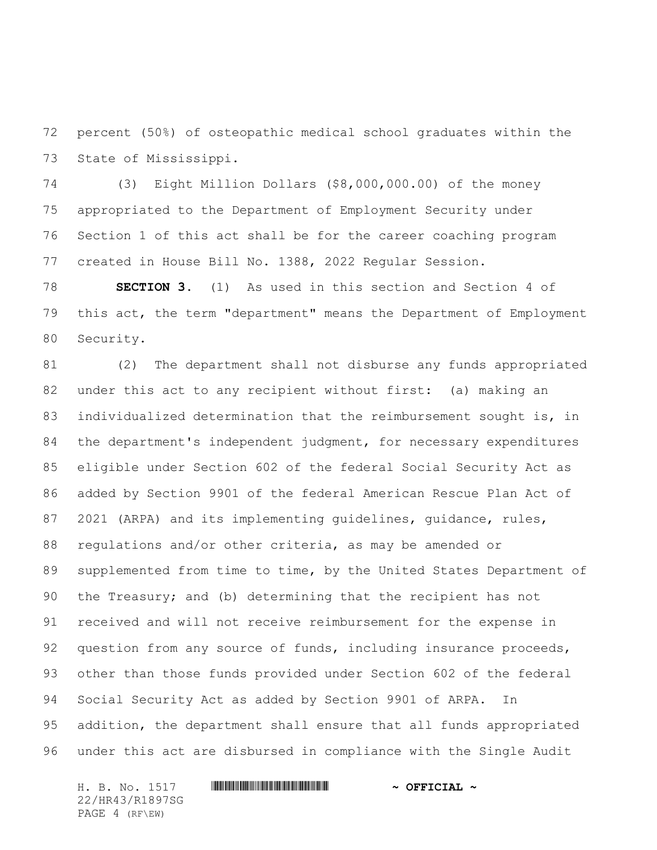percent (50%) of osteopathic medical school graduates within the State of Mississippi.

 (3) Eight Million Dollars (\$8,000,000.00) of the money appropriated to the Department of Employment Security under Section 1 of this act shall be for the career coaching program created in House Bill No. 1388, 2022 Regular Session.

 **SECTION 3.** (1) As used in this section and Section 4 of this act, the term "department" means the Department of Employment Security.

 (2) The department shall not disburse any funds appropriated under this act to any recipient without first: (a) making an individualized determination that the reimbursement sought is, in 84 the department's independent judgment, for necessary expenditures eligible under Section 602 of the federal Social Security Act as added by Section 9901 of the federal American Rescue Plan Act of 2021 (ARPA) and its implementing guidelines, guidance, rules, regulations and/or other criteria, as may be amended or supplemented from time to time, by the United States Department of the Treasury; and (b) determining that the recipient has not received and will not receive reimbursement for the expense in question from any source of funds, including insurance proceeds, other than those funds provided under Section 602 of the federal Social Security Act as added by Section 9901 of ARPA. In addition, the department shall ensure that all funds appropriated under this act are disbursed in compliance with the Single Audit

H. B. No. 1517 **. WALLER WEIGHT AND A SEPTCIAL ~** 22/HR43/R1897SG PAGE 4 (RF\EW)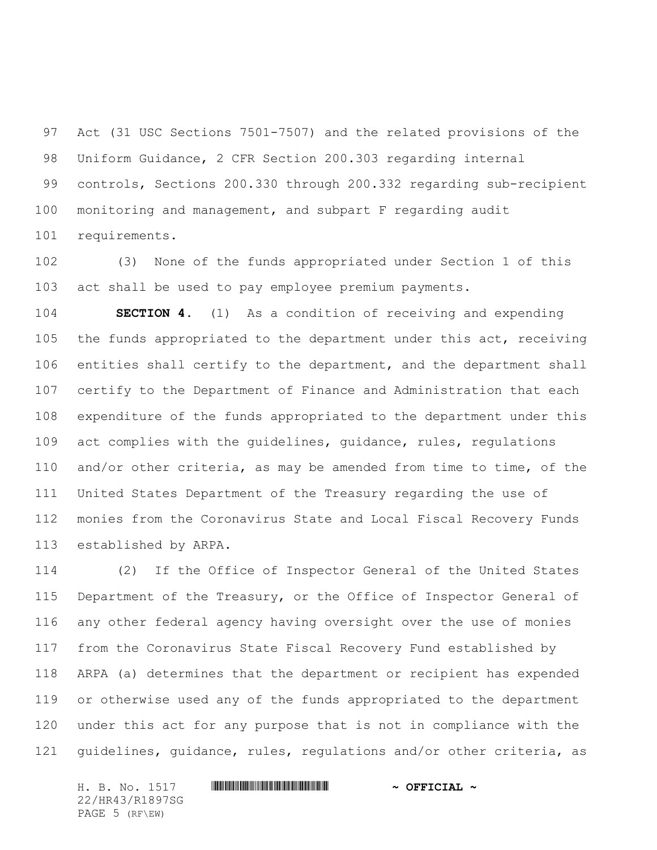Act (31 USC Sections 7501-7507) and the related provisions of the Uniform Guidance, 2 CFR Section 200.303 regarding internal controls, Sections 200.330 through 200.332 regarding sub-recipient monitoring and management, and subpart F regarding audit requirements.

 (3) None of the funds appropriated under Section 1 of this act shall be used to pay employee premium payments.

 **SECTION 4.** (1) As a condition of receiving and expending the funds appropriated to the department under this act, receiving entities shall certify to the department, and the department shall certify to the Department of Finance and Administration that each expenditure of the funds appropriated to the department under this act complies with the guidelines, guidance, rules, regulations and/or other criteria, as may be amended from time to time, of the United States Department of the Treasury regarding the use of monies from the Coronavirus State and Local Fiscal Recovery Funds established by ARPA.

 (2) If the Office of Inspector General of the United States Department of the Treasury, or the Office of Inspector General of any other federal agency having oversight over the use of monies from the Coronavirus State Fiscal Recovery Fund established by ARPA (a) determines that the department or recipient has expended or otherwise used any of the funds appropriated to the department under this act for any purpose that is not in compliance with the guidelines, guidance, rules, regulations and/or other criteria, as

H. B. No. 1517 **. WALLER WEIGHT AND A SEPTCIAL ~** 22/HR43/R1897SG PAGE 5 (RF\EW)